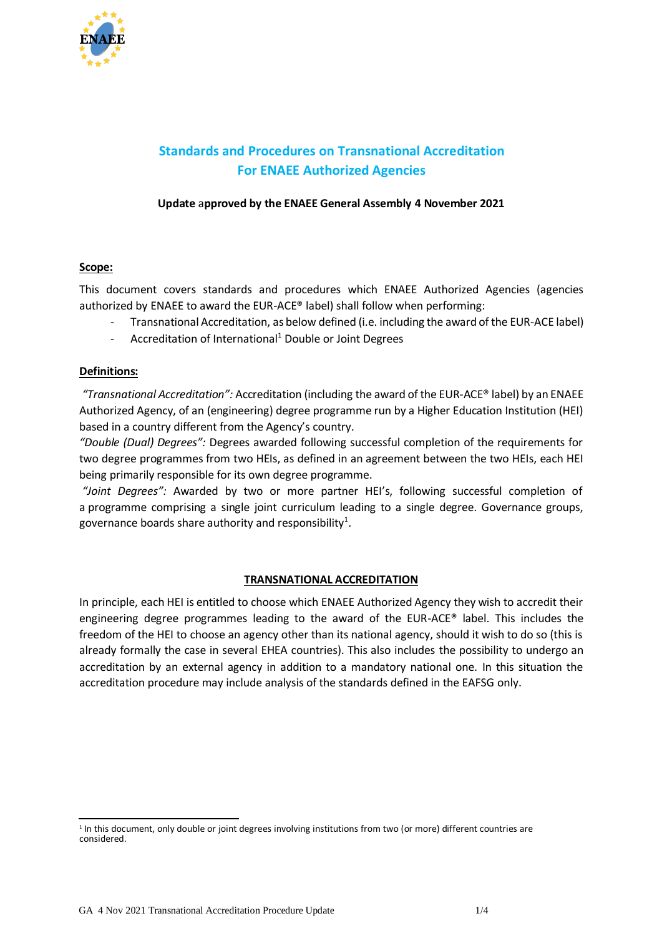

# **Standards and Procedures on Transnational Accreditation For ENAEE Authorized Agencies**

# **Update** a**pproved by the ENAEE General Assembly 4 November 2021**

## **Scope:**

This document covers standards and procedures which ENAEE Authorized Agencies (agencies authorized by ENAEE to award the EUR-ACE® label) shall follow when performing:

- Transnational Accreditation, as below defined (i.e. including the award of the EUR-ACE label)
- Accreditation of International<sup>1</sup> Double or Joint Degrees

#### **Definitions:**

*"Transnational Accreditation":* Accreditation (including the award of the EUR-ACE® label) by an ENAEE Authorized Agency, of an (engineering) degree programme run by a Higher Education Institution (HEI) based in a country different from the Agency's country.

*"Double (Dual) Degrees":* Degrees awarded following successful completion of the requirements for two degree programmes from two HEIs, as defined in an agreement between the two HEIs, each HEI being primarily responsible for its own degree programme.

*"Joint Degrees":* Awarded by two or more partner HEI's, following successful completion of a programme comprising a single joint curriculum leading to a single degree. Governance groups, governance boards share authority and responsibility $^{\rm 1}.$ 

## **TRANSNATIONAL ACCREDITATION**

In principle, each HEI is entitled to choose which ENAEE Authorized Agency they wish to accredit their engineering degree programmes leading to the award of the EUR-ACE® label. This includes the freedom of the HEI to choose an agency other than its national agency, should it wish to do so (this is already formally the case in several EHEA countries). This also includes the possibility to undergo an accreditation by an external agency in addition to a mandatory national one. In this situation the accreditation procedure may include analysis of the standards defined in the EAFSG only.

<sup>1</sup> In this document, only double or joint degrees involving institutions from two (or more) different countries are considered.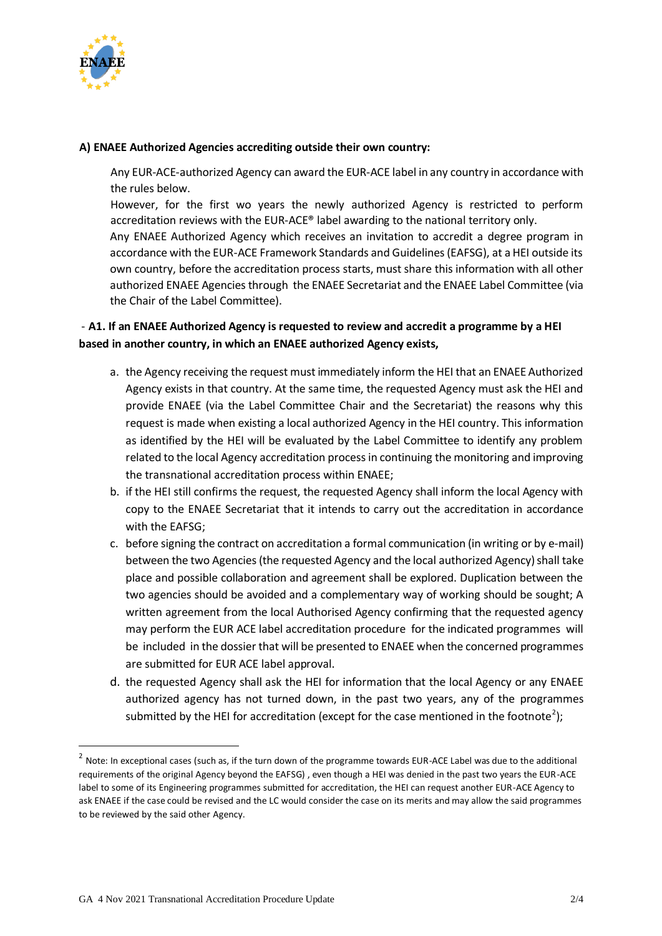

#### **A) ENAEE Authorized Agencies accrediting outside their own country:**

Any EUR-ACE-authorized Agency can award the EUR-ACE label in any country in accordance with the rules below.

However, for the first wo years the newly authorized Agency is restricted to perform accreditation reviews with the EUR-ACE® label awarding to the national territory only.

Any ENAEE Authorized Agency which receives an invitation to accredit a degree program in accordance with the EUR-ACE Framework Standards and Guidelines (EAFSG), at a HEI outside its own country, before the accreditation process starts, must share this information with all other authorized ENAEE Agencies through the ENAEE Secretariat and the ENAEE Label Committee (via the Chair of the Label Committee).

# - **A1. If an ENAEE Authorized Agency is requested to review and accredit a programme by a HEI based in another country, in which an ENAEE authorized Agency exists,**

- a. the Agency receiving the request must immediately inform the HEI that an ENAEE Authorized Agency exists in that country. At the same time, the requested Agency must ask the HEI and provide ENAEE (via the Label Committee Chair and the Secretariat) the reasons why this request is made when existing a local authorized Agency in the HEI country. This information as identified by the HEI will be evaluated by the Label Committee to identify any problem related to the local Agency accreditation process in continuing the monitoring and improving the transnational accreditation process within ENAEE;
- b. if the HEI still confirms the request, the requested Agency shall inform the local Agency with copy to the ENAEE Secretariat that it intends to carry out the accreditation in accordance with the EAFSG;
- c. before signing the contract on accreditation a formal communication (in writing or by e-mail) between the two Agencies (the requested Agency and the local authorized Agency) shall take place and possible collaboration and agreement shall be explored. Duplication between the two agencies should be avoided and a complementary way of working should be sought; A written agreement from the local Authorised Agency confirming that the requested agency may perform the EUR ACE label accreditation procedure for the indicated programmes will be included in the dossier that will be presented to ENAEE when the concerned programmes are submitted for EUR ACE label approval.
- d. the requested Agency shall ask the HEI for information that the local Agency or any ENAEE authorized agency has not turned down, in the past two years, any of the programmes submitted by the HEI for accreditation (except for the case mentioned in the footnote<sup>2</sup>);

 $^2$  Note: In exceptional cases (such as, if the turn down of the programme towards EUR-ACE Label was due to the additional requirements of the original Agency beyond the EAFSG) , even though a HEI was denied in the past two years the EUR-ACE label to some of its Engineering programmes submitted for accreditation, the HEI can request another EUR-ACE Agency to ask ENAEE if the case could be revised and the LC would consider the case on its merits and may allow the said programmes to be reviewed by the said other Agency.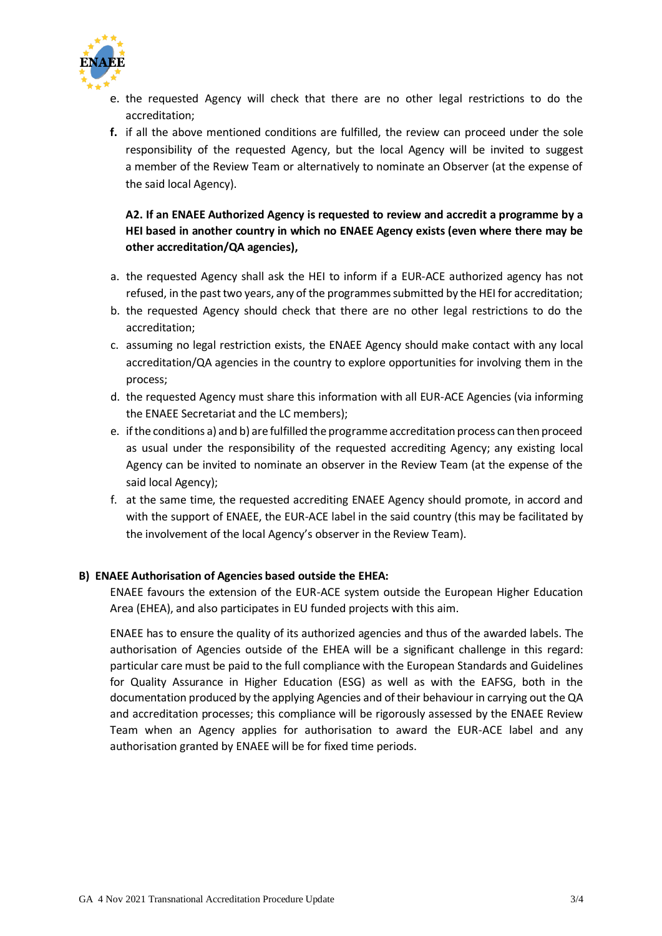

- e. the requested Agency will check that there are no other legal restrictions to do the accreditation;
- **f.** if all the above mentioned conditions are fulfilled, the review can proceed under the sole responsibility of the requested Agency, but the local Agency will be invited to suggest a member of the Review Team or alternatively to nominate an Observer (at the expense of the said local Agency).

# **A2. If an ENAEE Authorized Agency is requested to review and accredit a programme by a HEI based in another country in which no ENAEE Agency exists (even where there may be other accreditation/QA agencies),**

- a. the requested Agency shall ask the HEI to inform if a EUR-ACE authorized agency has not refused, in the past two years, any of the programmes submitted by the HEI for accreditation;
- b. the requested Agency should check that there are no other legal restrictions to do the accreditation;
- c. assuming no legal restriction exists, the ENAEE Agency should make contact with any local accreditation/QA agencies in the country to explore opportunities for involving them in the process;
- d. the requested Agency must share this information with all EUR-ACE Agencies (via informing the ENAEE Secretariat and the LC members);
- e. if the conditions a) and b) are fulfilled the programme accreditation process can then proceed as usual under the responsibility of the requested accrediting Agency; any existing local Agency can be invited to nominate an observer in the Review Team (at the expense of the said local Agency);
- f. at the same time, the requested accrediting ENAEE Agency should promote, in accord and with the support of ENAEE, the EUR-ACE label in the said country (this may be facilitated by the involvement of the local Agency's observer in the Review Team).

## **B) ENAEE Authorisation of Agencies based outside the EHEA:**

ENAEE favours the extension of the EUR-ACE system outside the European Higher Education Area (EHEA), and also participates in EU funded projects with this aim.

ENAEE has to ensure the quality of its authorized agencies and thus of the awarded labels. The authorisation of Agencies outside of the EHEA will be a significant challenge in this regard: particular care must be paid to the full compliance with the European Standards and Guidelines for Quality Assurance in Higher Education (ESG) as well as with the EAFSG, both in the documentation produced by the applying Agencies and of their behaviour in carrying out the QA and accreditation processes; this compliance will be rigorously assessed by the ENAEE Review Team when an Agency applies for authorisation to award the EUR-ACE label and any authorisation granted by ENAEE will be for fixed time periods.